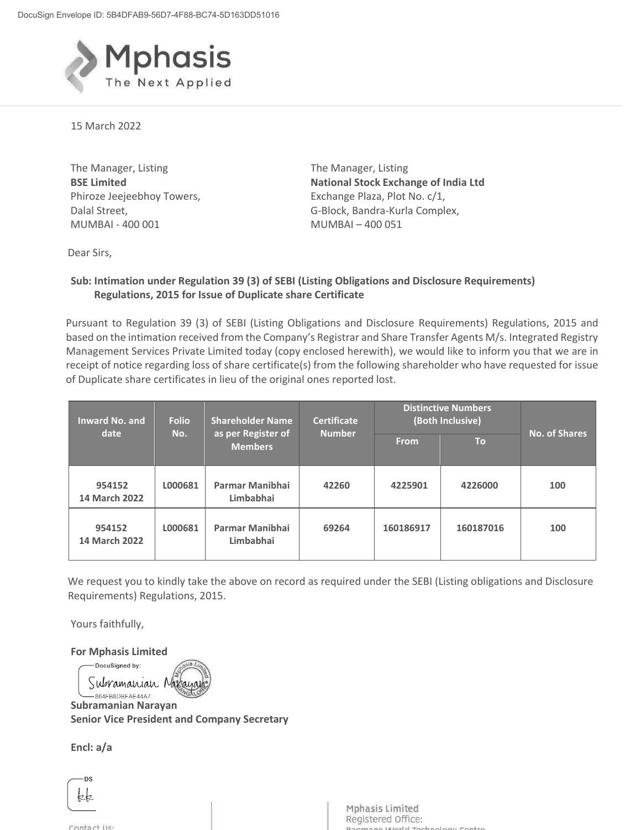

15 March 2022

The Manager, Listing **BSE Limited** Phiroze Jeejeebhoy Towers, Dalal Street, MUMBAI - 400 001

The Manager, Listing **National Stock Exchange of India Ltd** Exchange Plaza, Plot No. c/1, G-Block, Bandra-Kurla Complex, MUMBAI – 400 051

Dear Sirs,

## **Sub: Intimation under Regulation 39 (3) of SEBI (Listing Obligations and Disclosure Requirements) Regulations, 2015 for Issue of Duplicate share Certificate**

Pursuant to Regulation 39 (3) of SEBI (Listing Obligations and Disclosure Requirements) Regulations, 2015 and based on the intimation received from the Company's Registrar and Share Transfer Agents M/s. Integrated Registry Management Services Private Limited today (copy enclosed herewith), we would like to inform you that we are in receipt of notice regarding loss of share certificate(s) from the following shareholder who have requested for issue of Duplicate share certificates in lieu of the original ones reported lost.

| <b>Inward No. and</b><br>date  | <b>Folio</b><br>No. | <b>Shareholder Name</b><br>as per Register of<br><b>Members</b> | <b>Certificate</b><br><b>Number</b> | <b>Distinctive Numbers</b><br>(Both Inclusive) |           | <b>No. of Shares</b> |
|--------------------------------|---------------------|-----------------------------------------------------------------|-------------------------------------|------------------------------------------------|-----------|----------------------|
|                                |                     |                                                                 |                                     | <b>From</b>                                    | <b>To</b> |                      |
| 954152<br><b>14 March 2022</b> | L000681             | Parmar Manibhai<br>Limbabhai                                    | 42260                               | 4225901                                        | 4226000   | 100                  |
| 954152<br><b>14 March 2022</b> | L000681             | Parmar Manibhai<br>Limbabhai                                    | 69264                               | 160186917                                      | 160187016 | 100                  |

 We request you to kindly take the above on record as required under the SEBI (Listing obligations and Disclosure Requirements) Regulations, 2015.

Yours faithfully,

**For Mphasis Limited** 

DocuSigned by: Subramanian No

 **Subramanian Narayan Senior Vice President and Company Secretary** 

**Encl: a/a** 

**DS** kk

Contact IIs:

Mphasis Limited Registered Office: hnology Contro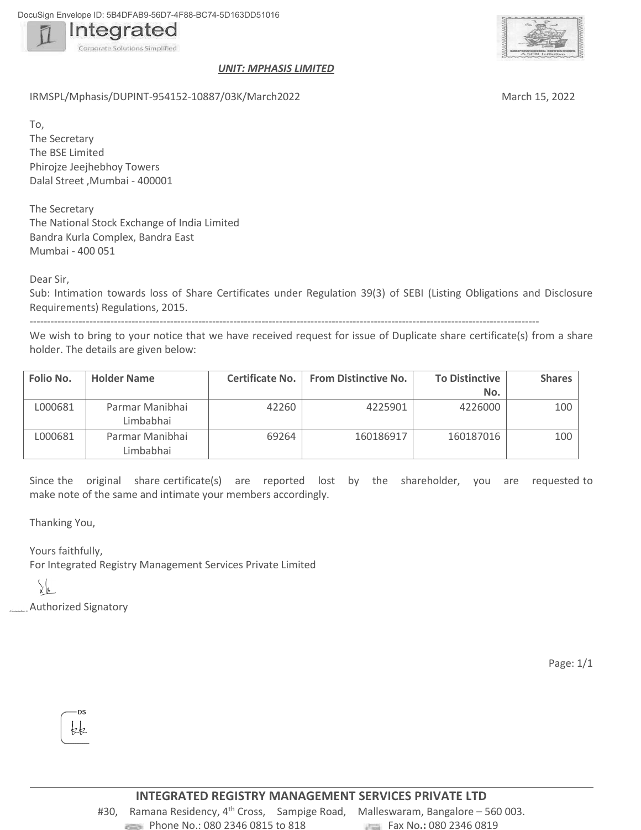DocuSign Envelope ID: 5B4DFAB9-56D7-4F88-BC74-5D163DD51016



## *UNIT: MPHASIS LIMITED*

IRMSPL/Mphasis/DUPINT-954152-10887/03K/March2022 March 15, 2022

To, The Secretary The BSE Limited Phirojze Jeejhebhoy Towers Dalal Street ,Mumbai - 400001

The Secretary The National Stock Exchange of India Limited Bandra Kurla Complex, Bandra East Mumbai - 400 051

Dear Sir,

Sub: Intimation towards loss of Share Certificates under Regulation 39(3) of SEBI (Listing Obligations and Disclosure Requirements) Regulations, 2015.

-------------------------------------------------------------------------------------------------------------------------------------------------

We wish to bring to your notice that we have received request for issue of Duplicate share certificate(s) from a share holder. The details are given below:

| Folio No. | <b>Holder Name</b>           | Certificate No. | <b>From Distinctive No.</b> | <b>To Distinctive</b> | Shares |
|-----------|------------------------------|-----------------|-----------------------------|-----------------------|--------|
|           |                              |                 |                             | No.                   |        |
| L000681   | Parmar Manibhai<br>Limbabhai | 42260           | 4225901                     | 4226000               | 100    |
| L000681   | Parmar Manibhai<br>Limbabhai | 69264           | 160186917                   | 160187016             | 100    |

Since the original share certificate(s) are reported lost by the shareholder, you are requested to make note of the same and intimate your members accordingly.

Thanking You,

Yours faithfully, For Integrated Registry Management Services Private Limited

 $\int_{\mathcal{X}}\int_{\mathcal{G}}$ 

Authorized Signatory

Page: 1/1



#30, Ramana Residency,  $4^{th}$  Cross, Sampige Road, Malleswaram, Bangalore – 560 003. **Phone No.: 080 2346 0815 to 818** Fax No.: 080 2346 0819